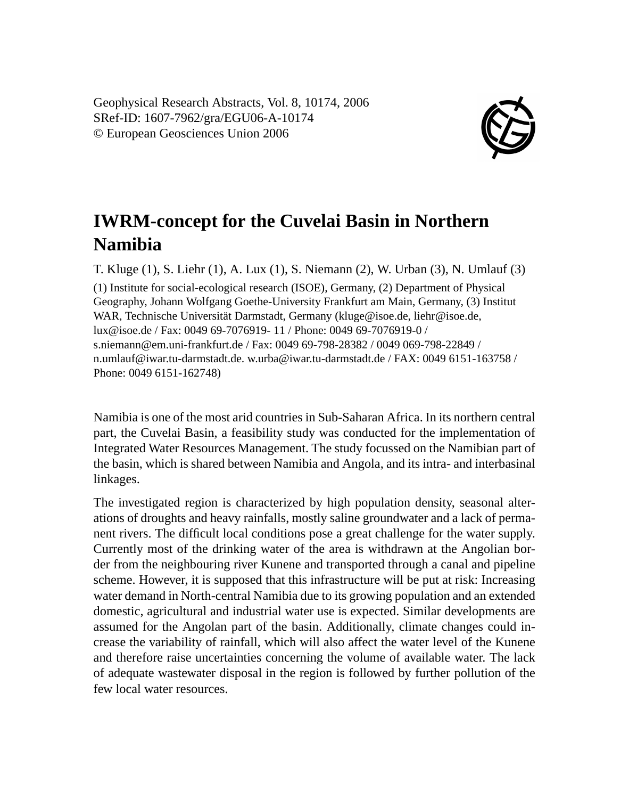Geophysical Research Abstracts, Vol. 8, 10174, 2006 SRef-ID: 1607-7962/gra/EGU06-A-10174 © European Geosciences Union 2006



## **IWRM-concept for the Cuvelai Basin in Northern Namibia**

T. Kluge (1), S. Liehr (1), A. Lux (1), S. Niemann (2), W. Urban (3), N. Umlauf (3) (1) Institute for social-ecological research (ISOE), Germany, (2) Department of Physical Geography, Johann Wolfgang Goethe-University Frankfurt am Main, Germany, (3) Institut WAR, Technische Universität Darmstadt, Germany (kluge@isoe.de, liehr@isoe.de, lux@isoe.de / Fax: 0049 69-7076919- 11 / Phone: 0049 69-7076919-0 / s.niemann@em.uni-frankfurt.de / Fax: 0049 69-798-28382 / 0049 069-798-22849 / n.umlauf@iwar.tu-darmstadt.de. w.urba@iwar.tu-darmstadt.de / FAX: 0049 6151-163758 / Phone: 0049 6151-162748)

Namibia is one of the most arid countries in Sub-Saharan Africa. In its northern central part, the Cuvelai Basin, a feasibility study was conducted for the implementation of Integrated Water Resources Management. The study focussed on the Namibian part of the basin, which is shared between Namibia and Angola, and its intra- and interbasinal linkages.

The investigated region is characterized by high population density, seasonal alterations of droughts and heavy rainfalls, mostly saline groundwater and a lack of permanent rivers. The difficult local conditions pose a great challenge for the water supply. Currently most of the drinking water of the area is withdrawn at the Angolian border from the neighbouring river Kunene and transported through a canal and pipeline scheme. However, it is supposed that this infrastructure will be put at risk: Increasing water demand in North-central Namibia due to its growing population and an extended domestic, agricultural and industrial water use is expected. Similar developments are assumed for the Angolan part of the basin. Additionally, climate changes could increase the variability of rainfall, which will also affect the water level of the Kunene and therefore raise uncertainties concerning the volume of available water. The lack of adequate wastewater disposal in the region is followed by further pollution of the few local water resources.